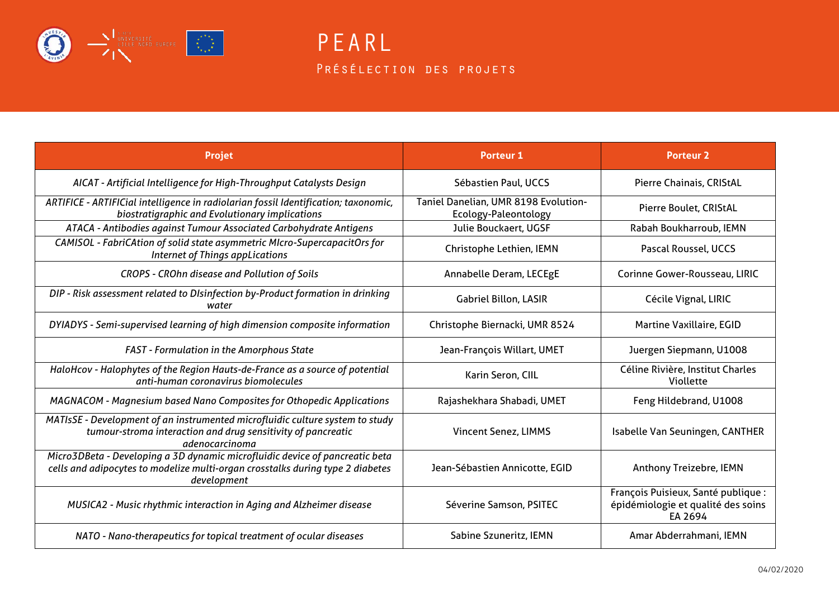

PEARL PRÉSÉLECTION DES PROJETS

| <b>Projet</b>                                                                                                                                                                 | <b>Porteur 1</b>                                             | <b>Porteur 2</b>                                                                     |
|-------------------------------------------------------------------------------------------------------------------------------------------------------------------------------|--------------------------------------------------------------|--------------------------------------------------------------------------------------|
| AICAT - Artificial Intelligence for High-Throughput Catalysts Design                                                                                                          | Sébastien Paul, UCCS                                         | Pierre Chainais, CRIStAL                                                             |
| ARTIFICE - ARTIFICial intelligence in radiolarian fossil Identification; taxonomic,<br>biostratigraphic and Evolutionary implications                                         | Taniel Danelian, UMR 8198 Evolution-<br>Ecology-Paleontology | Pierre Boulet, CRIStAL                                                               |
| ATACA - Antibodies against Tumour Associated Carbohydrate Antigens                                                                                                            | Julie Bouckaert, UGSF                                        | Rabah Boukharroub, IEMN                                                              |
| CAMISOL - FabriCAtion of solid state asymmetric MIcro-SupercapacitOrs for<br><b>Internet of Things appLications</b>                                                           | Christophe Lethien, IEMN                                     | Pascal Roussel, UCCS                                                                 |
| CROPS - CROhn disease and Pollution of Soils                                                                                                                                  | Annabelle Deram, LECEgE                                      | Corinne Gower-Rousseau, LIRIC                                                        |
| DIP - Risk assessment related to DIsinfection by-Product formation in drinking<br>water                                                                                       | <b>Gabriel Billon, LASIR</b>                                 | Cécile Vignal, LIRIC                                                                 |
| DYIADYS - Semi-supervised learning of high dimension composite information                                                                                                    | Christophe Biernacki, UMR 8524                               | <b>Martine Vaxillaire, EGID</b>                                                      |
| <b>FAST</b> - Formulation in the Amorphous State                                                                                                                              | Jean-François Willart, UMET                                  | Juergen Siepmann, U1008                                                              |
| HaloHcov - Halophytes of the Region Hauts-de-France as a source of potential<br>anti-human coronavirus biomolecules                                                           | Karin Seron, CIIL                                            | Céline Rivière, Institut Charles<br>Viollette                                        |
| MAGNACOM - Magnesium based Nano Composites for Othopedic Applications                                                                                                         | Rajashekhara Shabadi, UMET                                   | Feng Hildebrand, U1008                                                               |
| MATIsSE - Development of an instrumented microfluidic culture system to study<br>tumour-stroma interaction and drug sensitivity of pancreatic<br>adenocarcinoma               | <b>Vincent Senez, LIMMS</b>                                  | Isabelle Van Seuningen, CANTHER                                                      |
| Micro3DBeta - Developing a 3D dynamic microfluidic device of pancreatic beta<br>cells and adipocytes to modelize multi-organ crosstalks during type 2 diabetes<br>development | Jean-Sébastien Annicotte, EGID                               | Anthony Treizebre, IEMN                                                              |
| MUSICA2 - Music rhythmic interaction in Aging and Alzheimer disease                                                                                                           | Séverine Samson, PSITEC                                      | François Puisieux, Santé publique :<br>épidémiologie et qualité des soins<br>EA 2694 |
| NATO - Nano-therapeutics for topical treatment of ocular diseases                                                                                                             | Sabine Szuneritz, IEMN                                       | Amar Abderrahmani, IEMN                                                              |